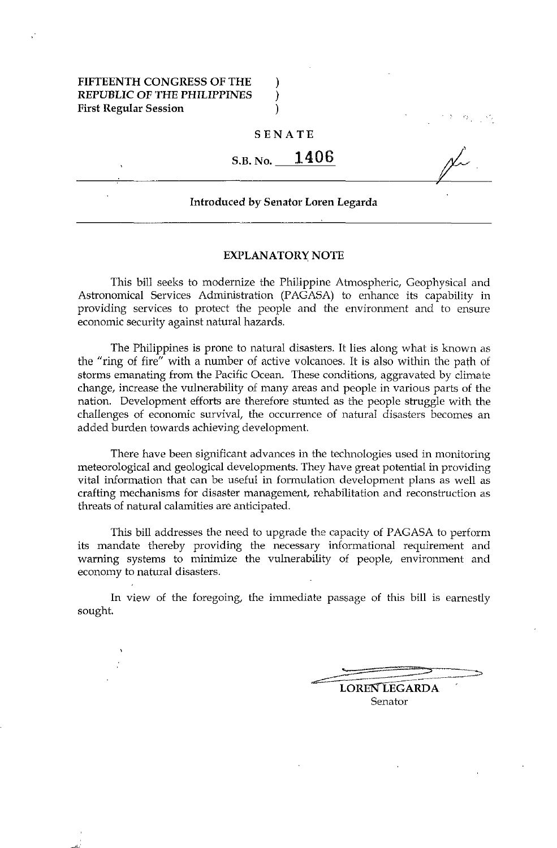## FIFTEENTH CONGRESS OF THE REPUBLIC OF THE PHILIPPINES  $\qquad$ ) First Regular Session (1999)

#### SENATE

 $\sum_{i=1}^{n}$ 

>

 $\frac{\cancel{1}}{\cancel{1}}$ 

# S.B. No. **1406**

Introduced by Senator Loren Legarda

#### EXPLANATORY NOTE

This bill seeks to modernize the Philippine Atmospheric, Geophysical and Astronomical Services Administration (PAGASA) to enhance its capability in providing services to protect the people and the environment and to ensure economic security against natural hazards.

The Philippines is prone to natural disasters. It lies along what is known as the "ring of fire" with a number of active volcanoes. It is also within the path of storms emanating from the Pacific Ocean. These conditions, aggravated by climate change, increase the vulnerability of many areas and people in various parts of the nation. Development efforts are therefore stunted as the people struggle with the challenges of economic survival, the occurrence of natural disasters becomes an added burden towards achieving development.

There have been significant advances in the technologies used in monitoring meteorological and geological developments. They have great potential in providing vital information that can be useful in formulation development plans as well as crafting mechanisms for disaster management, rehabilitation and reconstruction as threats of natural calamities are anticipated.

This bill addresses the need to upgrade the capacity of PAGASA to perform its mandate thereby providing the necessary informational requirement and warning systems to minimize the vulnerability of people, environment and economy to natural disasters.

In view of the foregoing, the immediate passage of this bill is earnestly sought.

> ~- ---~--------------.- LOREN LEGARDA Senator

....::.::= -:::::s -":':;>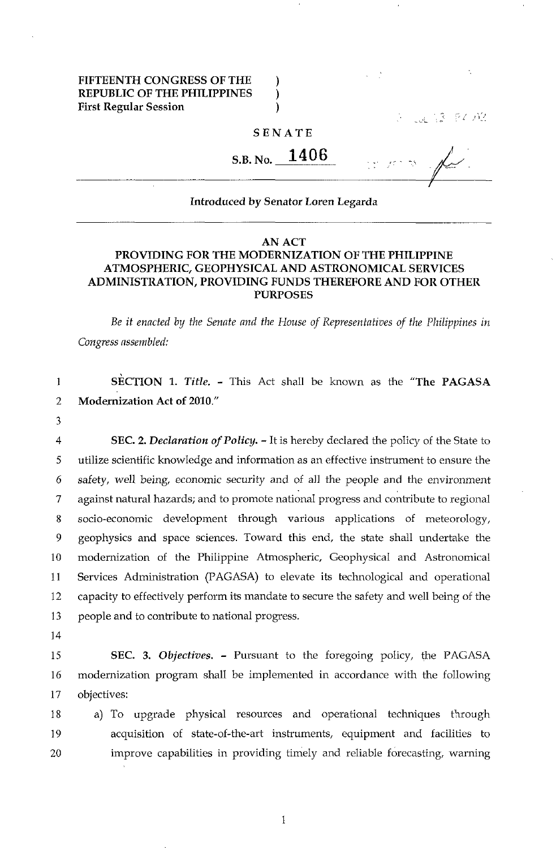## FIFTEENTH CONGRESS OF THE REPUBLIC OF THE PHILIPPINES First Regular Session

30. 译 早/元

### SENATE

) ) )

S.B. No. 1406

 $\overline{\mathscr{N}}$ I

#### Introduced by Senator Loren Legarda

## AN ACT PROVIDING FOR THE MODERNIZATION OF THE PHILIPPINE ATMOSPHERIC, GEOPHYSICAL AND ASTRONOMICAL SERVICES ADMINISTRATION, PROVIDING FUNDS THEREFORE AND FOR OTHER PURPOSES

Be *it enacted by the Senate and the House of Representatives of the Philippines in Congress assembled:* 

1 SECTION 1. *Title.* - This Act shall be known as the "The PAGASA" 2 Modernization Act of 2010."

3

4 SEC. 2. *Declaration of Policy.* - It is hereby declared the policy of the State to 5 utilize scientific knowledge and information as an effective instrument to ensure the 6 safety, well being, economic security and of all the people and the environment 7 against natural hazards; and to promote national progress and contribute to regional 8 socio-economic development through various applications of meteorology, 9 geophysics and space sciences. Toward this end, the state shall undertake the 10 modernization of the Philippine Atmospheric, Geophysical and Astronomical 11 Services Administration (PAGASA) to elevate its technological and operational 12 capacity to effectively perform its mandate to secure the safety and well being of the 13 people and to contribute to national progress.

14

15 SEC. 3. *Objectives.* - Pursuant to the foregoing policy, the PAGASA 16 modernization program shall be implemented in accordance with the following 17 objectives:

18 a) To upgrade physical resources and operational techniques through 19 acquisition of state-of-the-art instruments, equipment and facilities to 20 improve capabilities in providing timely and reliable forecasting, warning

1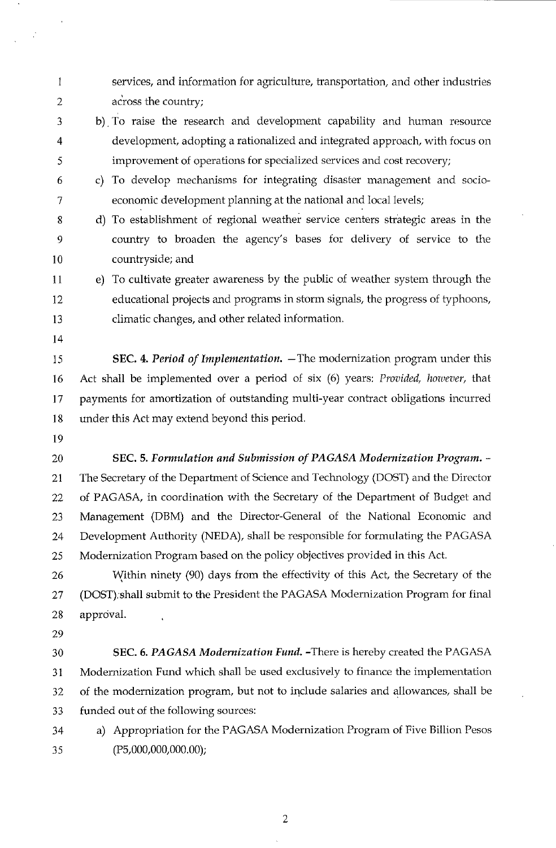| 1              | services, and information for agriculture, transportation, and other industries      |
|----------------|--------------------------------------------------------------------------------------|
| $\overline{2}$ | across the country;                                                                  |
| 3              | b) To raise the research and development capability and human resource               |
| 4              | development, adopting a rationalized and integrated approach, with focus on          |
| 5              | improvement of operations for specialized services and cost recovery;                |
| 6              | To develop mechanisms for integrating disaster management and socio-<br>$\mathbf{C}$ |
| 7              | economic development planning at the national and local levels;                      |
| 8              | d) To establishment of regional weather service centers strategic areas in the       |
| 9              | country to broaden the agency's bases for delivery of service to the                 |
| 10             | countryside; and                                                                     |
| 11             | e) To cultivate greater awareness by the public of weather system through the        |
| 12             | educational projects and programs in storm signals, the progress of typhoons,        |
| 13             | climatic changes, and other related information.                                     |
| 14             |                                                                                      |
| 15             | SEC. 4. Period of Implementation. - The modernization program under this             |
| 16             | Act shall be implemented over a period of six (6) years: Provided, however, that     |
| 17             | payments for amortization of outstanding multi-year contract obligations incurred    |
| 18             | under this Act may extend beyond this period.                                        |
| 19             |                                                                                      |
| 20             | SEC. 5. Formulation and Submission of PAGASA Modernization Program. -                |
| 21             | The Secretary of the Department of Science and Technology (DOST) and the Director    |
| 22             | of PAGASA, in coordination with the Secretary of the Department of Budget and        |
| 23             | Management (DBM) and the Director-General of the National Economic and               |
| 24             | Development Authority (NEDA), shall be responsible for formulating the PAGASA        |
| 25             | Modernization Program based on the policy objectives provided in this Act.           |
| 26             | Within ninety (90) days from the effectivity of this Act, the Secretary of the       |
| 27             | (DOST); shall submit to the President the PAGASA Modernization Program for final     |
| 28             | approval.                                                                            |
| 29             |                                                                                      |
| 30             | SEC. 6. PAGASA Modernization Fund. - There is hereby created the PAGASA              |
| 31             | Modernization Fund which shall be used exclusively to finance the implementation     |
| 32             | of the modernization program, but not to include salaries and allowances, shall be   |
| 33             | funded out of the following sources:                                                 |
| 34             | Appropriation for the PAGASA Modernization Program of Five Billion Pesos<br>a)       |
| 35             | (P5,000,000,000.00);                                                                 |

 $\frac{1}{2}$ 

2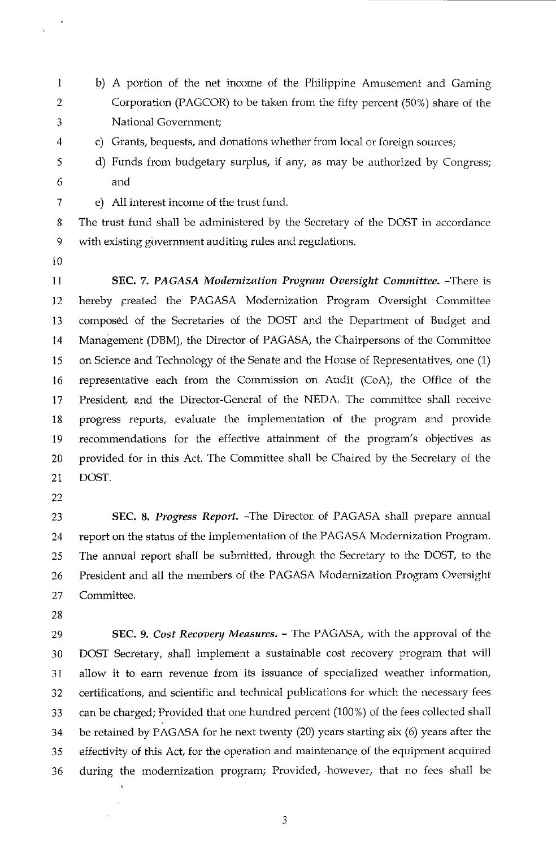- I b) A portion of the net income of the Philippine Amusement and Gaming 2 Corporation (PAGCOR) to be taken from the fifty percent (50%) share of the 3 National Government;
- 
- 4 c) Grants, bequests, and donations whether from local or foreign sources;
- 5 d) Funds from budgetary surplus, if any, as may be authorized by Congress; 6 and
- 7 e) All interest income of the trust fund.

8 The trust fund shall be administered by the Secretary of the DOST in accordance 9 with existing government auditing rules and regulations.

- 10
- 11 SEC. 7. *PAGASA Modernization Program Oversight Committee.* -There is 12 hereby created the PAGASA Modernization Program Oversight Committee 13 composed of the Secretaries of the DOST and the Department of Budget and 14 Management (DBM), the Director of PAGASA, the Chairpersons of the Committee 15 on Science and Technology of the Senate and the House of Representatives, one (1) 16 representative each from the Commission on Audit (CoA), the Office of the 17 President, and the Director-General of the NEDA. The committee shall receive 18 progress reports, evaluate the implementation of the program and provide 19 recommendations for the effective attainment of the program's objectives as 20 provided for in this Act. The Committee shall be Chaired by the Secretary of the 21 DOST.
- 22

23 **SEC. 8.** *Progress Report.* -The Director of PAGASA shall prepare annual 24 report on the status of the implementation of the PAGASA Modernization Program. 25 The annual report shall be submitted, through the Secretary to the DOST, to the 26 President and all the members of the PAGASA Modernization Program Oversight 27 Committee.

- 28
- 

29 **SEC. 9.** *Cost Recovery Measures.* - The PAGASA, with the approval of the 30 DOST Secretary, shall implement a sustainable cost recovery program that will 31 allow it to earn revenue from its issuance of specialized weather information, 32 certifications, and scientific and technical publications for which the necessary fees 33 can be charged; Provided that one hundred percent (100%) of the fees collected shall 34 be retained by PAGASA for he next twenty (20) years starting six (6) years after the 35 effectivity of this Act, for the operation and maintenance of the equipment acquired 36 during the modernization program; Provided, .however, that no fees shall be